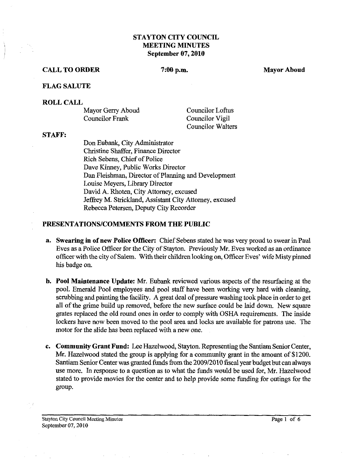# **STAYTON CITY COUNCIL MEETING MINUTES September 07,2010**

#### **CALL TO ORDER**

 $7:00 p.m.$ 

**Mayor Aboud** 

### **FLAG SALUTE**

#### **ROLL CALL**

| Mayor Gerry Aboud | Councilor Loftus         |
|-------------------|--------------------------|
| Councilor Frank   | Councilor Vigil          |
|                   | <b>Councilor Walters</b> |

#### **STAFF:**

Don Eubank, City Administrator Christine Shaffer, Finance Director Rich Sebens, Chief of Police Dave Kinney, Public Works Director Dan Fleishman, Director of Planning and Development Louise Meyers, Libraty Director David A. Rhoten, City Attorney, excused Jeffrey M. Strickland, Assistant City Attorney, excused Rebecca Petersen, Deputy City Recorder

#### **PRESENTATIONSICOMMENTS FROM THE PUBLIC**

- **a. Swearing in of new Police Officer:** Chief Sebens stated he was very proud to swear in Paul Eves as a Police Officer for the City of Stayton. Previously Mr. Eves worked as an ordinance officer with the city of Salem. With their children looking on, Officer Eves' wife Misty pinned his badge on.
- **b. Pool Maintenance Update: Mr.** Eubank reviewed various aspects of the resurfacing at the pool. Emerald Pool employees and pool staff have been working very hard with cleaning, scrubbing and painting the facility. A great deal of pressure washing took place in order to get all of the grime build up removed, before the new surface could be laid down. New square grates replaced the old round ones in order to comply with OSHA requirements. The inside lockers have now been moved to the pool area and locks are available for patrons use. The motor for the slide has been replaced with a new one.
- **c. Community Grant Fund:** Lee Hazelwood, Stayton. Representing the Santiam Senior Center, Mr. Hazelwood stated the group is applying for a community grant in the amount of \$1200. Santiam Senior Center was granted funds fiom the 200912010 fiscal year budget but can always use more. In response to a question as to what the funds would be used for, Mr. Hazelwood stated to provide movies for the center and to help provide some funding for outings for the group.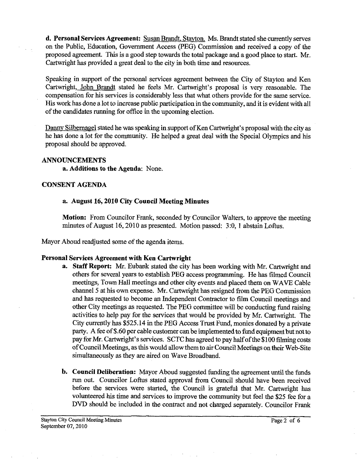**d. Personal Services Agreement:** Susan Brandt. Stavton. Ms. Brandt stated she currently serves on the Public, Education, Government Access (PEG) Commission and received a copy of the proposed agreement. This is a good step towards the total package and a good place to start. Mr. Cartwright has provided a great deal to the city in both time and resources.

Speaking in support of the personal services agreement between the City of Stayton and Ken Cartwright, John Brandt stated he feels Mr. Cartwright's proposal is very reasonable. The compensation for his services is considerably less that what others provide for the same service. His work has done a lot to increase public participation in the community, and it is evident with all of the candidates running for office in the upcoming election.

Dannv Silbemagel stated he was speaking in support of Ken Cartwight's proposal with the city as he has done a lot for the community. He helped a great deal with the Special Olympics and his proposal should be approved.

### **ANNOUNCEMENTS**

**a. Additians to the Agenda:** None.

### **CONSENT AGENDA**

### **a. August 16,2010 City Council Meeting Minutes**

**Motion:** From Councilor Frank, seconded by Councilor Walters, to approve the meeting minutes of August 16,2010 as presented. Motion passed: 3:0, 1 abstain Loftus,

Mayor Aboud readjusted some of the agenda items.

#### Personal Services Agreement with Ken Cartwright

- **a. Staff Report:** Mr. Eubank stated the city has been working with Mr. Cartwright and others for several years to establish PEG access programming. He **has** filmed Council meetings, Town Hall meetings and other city events and placed them on WAVE Cable channel 5 at his own expense. Mr. Cartwright has resigned from the PEG Commission and has requested to become an Independent Contractor to film Council meetings and other City meetings as requested. The PEG committee will be conducting fund raising activities to help pay for the services that would be provided by Mr. Cartwright. The City currently has \$525.14 in the PEG Access Trust Fund, monies donated by a private party. A fee of \$.60 per cable customer can be implemented to fund equipment but not to pay for Mr. Cartwright's services. SCTC has agreed to pay half of the \$100 filming costs of Council Meetings, as this would allow them to air Council Meetings on their Web-Site simultaneously as they are aired on Wave Broadband.
- **b. Council Deliberation:** Mayor Aboud suggested funding the agreement until the funds run out. Councilor Loftus stated approval from Council should have been received before the services were started, the Council is grateful that Mr. Cartwright has volunteered his time and services to improve the community but feel the \$25 fee for a DVD should be included in the contract and not charged separately. Councilor Frank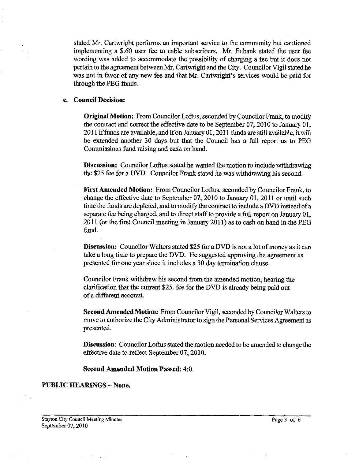stated Mr. Cartwright performs an important service to the community but cautioned implementing a \$.60 user fee to cable subscribers. Mr. Eubank stated the user fee wording was added to accommodate the possibility of charging a fee but it does not pertain to the agreement between Mr. Cartwright and the City. Councilor Vigil stated he was not in favor of any new fee and that Mr. Cartwright's services would be paid for through the PEG funds.

### **c. Council Decision:**

**Original Motion:** From Councilor Loftus, seconded by Councilor Frank, to modify the contract and correct the effective date to be September 07,2010 to January 01, 2011 if funds are available, and if on January 01, 2011 funds are still available, it will be extended another 30 days but that the Council has a full report as to PEG Commissions fund raising and cash on hand.

**Discussion:** Councilor Loftus stated he wanted the motion to include withdrawing the \$25 fee for a DVD. Councilor Frank stated he was withdrawing his second.

**First Amended Motion:** From Councilor Loftus, seconded by Councilor Frank, to change the effective date to September 07, 2010 to January 01, 2011 or until such time the funds are depleted, and to modify the contract to include a DVD instead of a separate fee being charged, and to direct staff to provide a full report on January 01, 2011 (or the first Council meeting in January 2011) as to cash on hand in the PEG fund.

**Discussion:** Councilor Walters stated \$25 for a DVD is not a lot of money as it can take a long time to prepare the DVD. He suggested approving the agreement as presented for one year since it includes a 30 day termination clause.

Councilor Frank withdrew his second from the amended motion, hearing the clarification that the current \$25. fee for the DVD is already being paid out of a different account.

**Second Amended Motion:** From Councilor Vigil, seconded by Councilor Walters to move to authorize the City Administrator to sign the Personal Services Agreement as presented.

**Discussion:** Councilor Loftus stated the motion needed to be amended to change the effective date to reflect September 07,2010.

**Second Amended Motion Passed: 4:0.** 

### **PUBLIC HEARINGS -None.**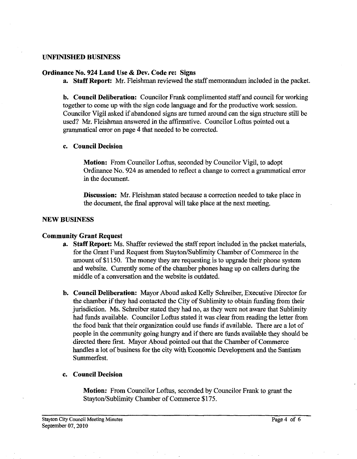### **UNFINISHED BUSINESS**

### **Ordinance No. 924 Land Use** & **Dev. Code re: Signs**

**a. Staff Report:** *Mr.* Fleishman reviewed the staff memorandum included in the packet.

**b. Council Deliberation:** Councilor **Frank** complimented staff and council for working together to come up with the sign code language and for the productive work session. Councilor Vigil asked if abandoned signs are turned around can the sign structure still be used? Mr. Fleishman answered in the affirmative. Councilor Loftus pointed out a grammatical error on page 4 that needed to be corrected.

## **c. Council Decision**

**Motion:** From Councilor Loftus, seconded by Councilor Vigil, to adopt Ordinance No. 924 as amended to reflect a change to correct a grammatical error in the document.

**Discussion:** Mr. Fleishman stated because a correction needed to take place in the document, the final approval will take place at the next meeting.

## **NEW BUSINESS**

# **Community Grant Request**

- **a. Staff Report:** Ms. Shaffer reviewed the staff report included in the packet materials, for the Grant Fund Request from Stayton/Sublimity Chamber of Commerce in the amount of \$1 150. The money they are requesting is to upgrade their phone system and website. Currently some of the chamber phones hang up on callers during the middle of a conversation and the website is outdated.
- **b. Council Deliberation:** Mayor Aboud asked Kelly Schreiber, Executive Director for the chamber if they had contacted the City of Sublimity to obtain funding from their jurisdiction. Ms. Schreiber stated they had no, as they were not aware that Sublimity had funds available. Councilor Loftus stated it was clear from reading the letter from the food bank that their organization could use funds if available. There are a lot of people in the community going hungry and if there are funds available they should be directed there frst. Mayor Aboud pointed out that the Chamber of Commerce handles a lot of business for the city with Economic Development and the Santiam Summerfest.

# **c. Council Decision**

**Motion:** From Councilor Loftus, seconded by Councilor Frank to grant the Stayton/Sublimity Chamber of Commerce \$175.

 $\bar{z}$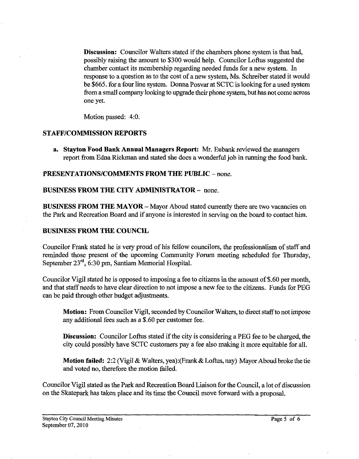**Discussion:** Councilor Walters stated if the chambers phone system is that bad, possibly raising the amount to \$300 would help. Councilor Loftus suggested the chamber contact its membership regarding needed funds for a new system. In response to a question as to the cost of a new system, Ms. Schreiber stated it would be \$665. for a four line system. Donna Posvar at SCTC is looking for a used system from a small company looking to upgrade their phone system, but has not come across one yet.

Motion passed: 4:O.

# **STAFF/COMMISSION REPORTS**

**a. Stayton Food Bank Annual Managers Report:** Mr. Eubank reviewed the managers report from Edna Rickman and stated she does a wonderful job in running the food bank.

# **PRESENTATIONS/COMMENTS FROM THE PUBLIC - none.**

# **BUSINESS FROM THE CITY ADMINISTRATOR** - none.

**BUSINESS FROM THE MAYOR – Mayor Aboud stated currently there are two vacancies on** the Park and Recreation Board and if anyone is interested in serving on the board to contact him.

# **BUSINESS PROM THE COUNCIL**

Councilor Frank stated he is very proud of his fellow councilors, the professionalism of staff and reminded those present of the upcoming Community Forum meeting scheduled for Thursday, September  $23<sup>rd</sup>$ , 6:30 pm, Santiam Memorial Hospital.

Councilor Vigil stated he is opposed to imposing a fee to citizens in the amount of \$.60 per month, and that staff needs to have clear direction to not impose a new fee to the citizens. Funds for PEG can be paid through other budget adjustments.

**Motion:** From Councilor Vigil, seconded by Councilor Walters, to direct staffto not impose any additional fees such **as** a \$.60 per customer fee.

**Discussion:** Councilor Loftus stated if the city is considering a PEG fee to be charged, the city could possibly have SCTC customers pay a fee also making it more equitable for all.

**Motion failed:** *2:2* (Vigil & Walters, yea):(Frank & Loftus, nay) Mayor Aboud broke the tie and voted no, therefore the motion failed.

Councilor Vigil stated **as** the Park and Recreation Board Liaison for the Council, a lot of discussion on the Skatepark has taken place and its time the Council move forward with a proposal.